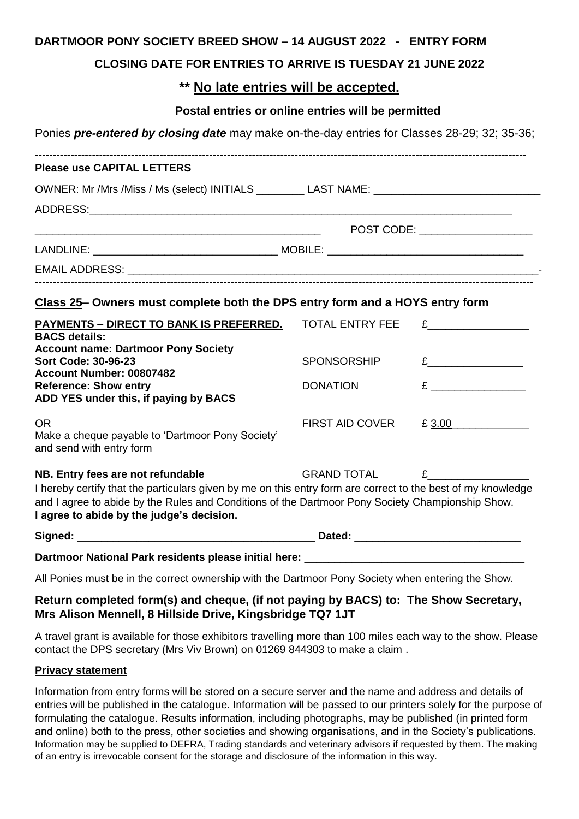### **DARTMOOR PONY SOCIETY BREED SHOW – 14 AUGUST 2022 - ENTRY FORM**

### **CLOSING DATE FOR ENTRIES TO ARRIVE IS TUESDAY 21 JUNE 2022**

# **\*\* No late entries will be accepted.**

### **Postal entries or online entries will be permitted**

Ponies *pre-entered by closing date* may make on-the-day entries for Classes 28-29; 32; 35-36;

| OWNER: Mr /Mrs /Miss / Ms (select) INITIALS __________ LAST NAME: __________________________________                                                                                                             |                                                                                                                                                                                                                               |  |  |  |  |
|------------------------------------------------------------------------------------------------------------------------------------------------------------------------------------------------------------------|-------------------------------------------------------------------------------------------------------------------------------------------------------------------------------------------------------------------------------|--|--|--|--|
|                                                                                                                                                                                                                  |                                                                                                                                                                                                                               |  |  |  |  |
| <u> 1989 - Johann Stoff, deutscher Stoff, der Stoff, der Stoff, der Stoff, der Stoff, der Stoff, der Stoff, der S</u>                                                                                            | POST CODE: ___________________                                                                                                                                                                                                |  |  |  |  |
|                                                                                                                                                                                                                  |                                                                                                                                                                                                                               |  |  |  |  |
|                                                                                                                                                                                                                  |                                                                                                                                                                                                                               |  |  |  |  |
| Class 25- Owners must complete both the DPS entry form and a HOYS entry form                                                                                                                                     |                                                                                                                                                                                                                               |  |  |  |  |
| <b>PAYMENTS - DIRECT TO BANK IS PREFERRED. TOTAL ENTRY FEE</b>                                                                                                                                                   | $E$ and $E$ and $E$ and $E$ and $E$ and $E$ and $E$ and $E$ and $E$ and $E$ and $E$ and $E$ and $E$ and $E$ and $E$ and $E$ and $E$ and $E$ and $E$ and $E$ and $E$ and $E$ and $E$ and $E$ and $E$ and $E$ and $E$ and $E$ a |  |  |  |  |
|                                                                                                                                                                                                                  |                                                                                                                                                                                                                               |  |  |  |  |
| <b>SPONSORSHIP</b>                                                                                                                                                                                               | $E$ and $E$ and $E$ and $E$ and $E$ and $E$ and $E$ and $E$ and $E$ and $E$ and $E$ and $E$ and $E$ and $E$ and $E$ and $E$ and $E$ and $E$ and $E$ and $E$ and $E$ and $E$ and $E$ and $E$ and $E$ and $E$ and $E$ and $E$ a |  |  |  |  |
|                                                                                                                                                                                                                  | E                                                                                                                                                                                                                             |  |  |  |  |
|                                                                                                                                                                                                                  |                                                                                                                                                                                                                               |  |  |  |  |
| <b>FIRST AID COVER</b>                                                                                                                                                                                           | £ 3.00                                                                                                                                                                                                                        |  |  |  |  |
|                                                                                                                                                                                                                  |                                                                                                                                                                                                                               |  |  |  |  |
| <b>GRAND TOTAL</b>                                                                                                                                                                                               | $E$ and $E$                                                                                                                                                                                                                   |  |  |  |  |
| I hereby certify that the particulars given by me on this entry form are correct to the best of my knowledge<br>and I agree to abide by the Rules and Conditions of the Dartmoor Pony Society Championship Show. |                                                                                                                                                                                                                               |  |  |  |  |
|                                                                                                                                                                                                                  |                                                                                                                                                                                                                               |  |  |  |  |
|                                                                                                                                                                                                                  | <b>DONATION</b>                                                                                                                                                                                                               |  |  |  |  |

#### **Dartmoor National Park residents please initial here:** \_\_\_\_\_\_\_\_\_\_\_\_\_\_\_\_\_\_\_\_\_\_\_\_\_\_\_\_\_\_\_\_\_\_\_\_\_

All Ponies must be in the correct ownership with the Dartmoor Pony Society when entering the Show.

# **Return completed form(s) and cheque, (if not paying by BACS) to: The Show Secretary, Mrs Alison Mennell, 8 Hillside Drive, Kingsbridge TQ7 1JT**

A travel grant is available for those exhibitors travelling more than 100 miles each way to the show. Please contact the DPS secretary (Mrs Viv Brown) on 01269 844303 to make a claim .

### **Privacy statement**

Information from entry forms will be stored on a secure server and the name and address and details of entries will be published in the catalogue. Information will be passed to our printers solely for the purpose of formulating the catalogue. Results information, including photographs, may be published (in printed form and online) both to the press, other societies and showing organisations, and in the Society's publications. Information may be supplied to DEFRA, Trading standards and veterinary advisors if requested by them. The making of an entry is irrevocable consent for the storage and disclosure of the information in this way.